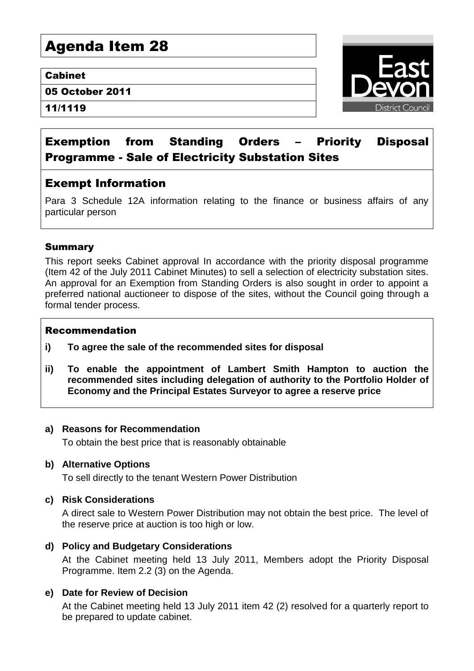# Agenda Item 28

#### Cabinet

05 October 2011

11/1119



# Exemption from Standing Orders – Priority Disposal Programme - Sale of Electricity Substation Sites

# Exempt Information

Para 3 Schedule 12A information relating to the finance or business affairs of any particular person

# Summary

This report seeks Cabinet approval In accordance with the priority disposal programme (Item 42 of the July 2011 Cabinet Minutes) to sell a selection of electricity substation sites. An approval for an Exemption from Standing Orders is also sought in order to appoint a preferred national auctioneer to dispose of the sites, without the Council going through a formal tender process.

#### Recommendation

- **i) To agree the sale of the recommended sites for disposal**
- **ii) To enable the appointment of Lambert Smith Hampton to auction the recommended sites including delegation of authority to the Portfolio Holder of Economy and the Principal Estates Surveyor to agree a reserve price**

#### **a) Reasons for Recommendation**

To obtain the best price that is reasonably obtainable

#### **b) Alternative Options**

To sell directly to the tenant Western Power Distribution

# **c) Risk Considerations**

A direct sale to Western Power Distribution may not obtain the best price. The level of the reserve price at auction is too high or low.

# **d) Policy and Budgetary Considerations**

At the Cabinet meeting held 13 July 2011, Members adopt the Priority Disposal Programme. Item 2.2 (3) on the Agenda.

# **e) Date for Review of Decision**

At the Cabinet meeting held 13 July 2011 item 42 (2) resolved for a quarterly report to be prepared to update cabinet.